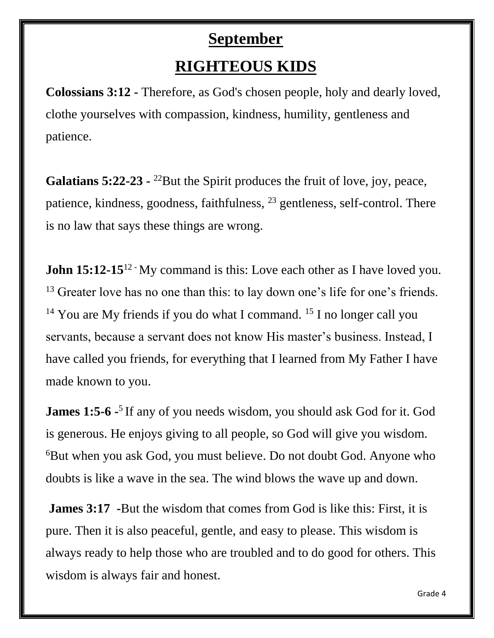#### **September**

# **RIGHTEOUS KIDS**

**Colossians 3:12 -** Therefore, as God's chosen people, holy and dearly loved, clothe yourselves with compassion, kindness, humility, gentleness and patience.

Galatians 5:22-23 - <sup>22</sup>But the Spirit produces the fruit of love, joy, peace, patience, kindness, goodness, faithfulness, <sup>23</sup> gentleness, self-control. There is no law that says these things are wrong.

**John 15:12-15**<sup>12</sup> My command is this: Love each other as I have loved you. <sup>13</sup> Greater love has no one than this: to lay down one's life for one's friends. <sup>14</sup> You are My friends if you do what I command. <sup>15</sup> I no longer call you servants, because a servant does not know His master's business. Instead, I have called you friends, for everything that I learned from My Father I have made known to you.

**James 1:5-6** <sup>-5</sup> If any of you needs wisdom, you should ask God for it. God is generous. He enjoys giving to all people, so God will give you wisdom. <sup>6</sup>But when you ask God, you must believe. Do not doubt God. Anyone who doubts is like a wave in the sea. The wind blows the wave up and down.

**James 3:17 -**But the wisdom that comes from God is like this: First, it is pure. Then it is also peaceful, gentle, and easy to please. This wisdom is always ready to help those who are troubled and to do good for others. This wisdom is always fair and honest.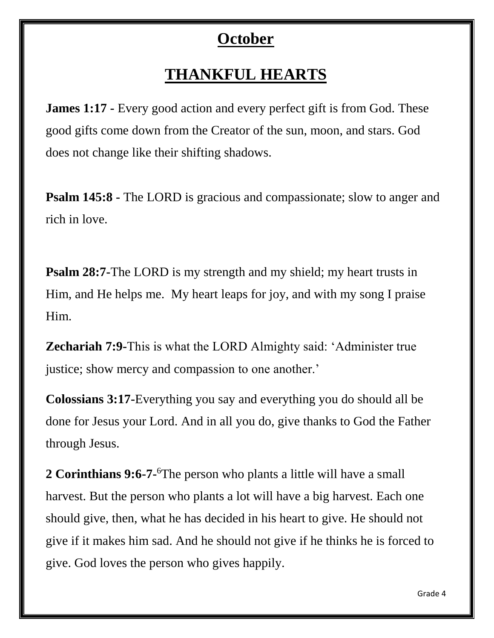## **October**

# **THANKFUL HEARTS**

**James 1:17 -** Every good action and every perfect gift is from God. These good gifts come down from the Creator of the sun, moon, and stars. God does not change like their shifting shadows.

**Psalm 145:8 -** The LORD is gracious and compassionate; slow to anger and rich in love.

**Psalm 28:7-The LORD** is my strength and my shield; my heart trusts in Him, and He helps me. My heart leaps for joy, and with my song I praise Him.

**Zechariah 7:9-**This is what the LORD Almighty said: 'Administer true justice; show mercy and compassion to one another.'

**Colossians 3:17-**Everything you say and everything you do should all be done for Jesus your Lord. And in all you do, give thanks to God the Father through Jesus.

**2 Corinthians 9:6-7-** <sup>6</sup>The person who plants a little will have a small harvest. But the person who plants a lot will have a big harvest. Each one should give, then, what he has decided in his heart to give. He should not give if it makes him sad. And he should not give if he thinks he is forced to give. God loves the person who gives happily.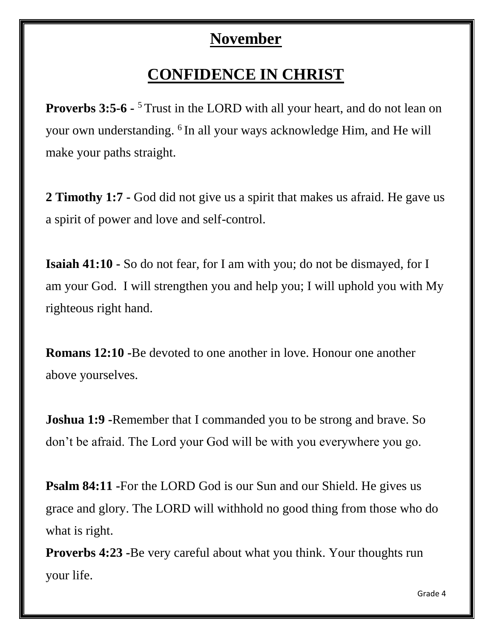#### **November**

## **CONFIDENCE IN CHRIST**

**Proverbs 3:5-6 -** <sup>5</sup> Trust in the LORD with all your heart, and do not lean on your own understanding. <sup>6</sup>In all your ways acknowledge Him, and He will make your paths straight.

**2 Timothy 1:7 -** God did not give us a spirit that makes us afraid. He gave us a spirit of power and love and self-control.

**Isaiah 41:10 -** So do not fear, for I am with you; do not be dismayed, for I am your God. I will strengthen you and help you; I will uphold you with My righteous right hand.

**Romans 12:10 -**Be devoted to one another in love. Honour one another above yourselves.

**Joshua 1:9 •Remember that I commanded you to be strong and brave. So** don't be afraid. The Lord your God will be with you everywhere you go.

**Psalm 84:11 -**For the LORD God is our Sun and our Shield. He gives us grace and glory. The LORD will withhold no good thing from those who do what is right.

**Proverbs 4:23 -**Be very careful about what you think. Your thoughts run your life.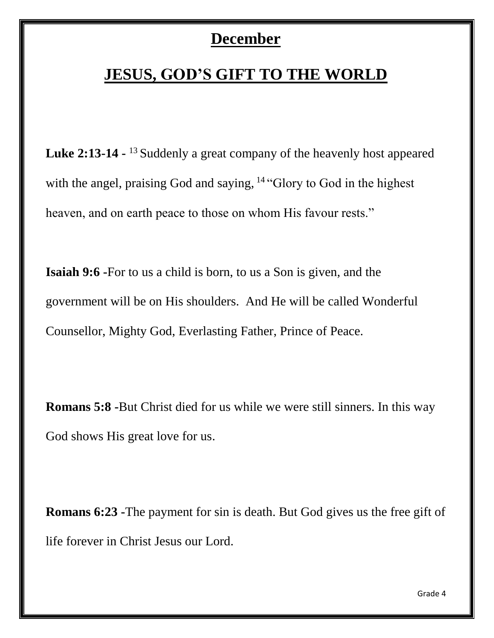#### **December**

# **JESUS, GOD'S GIFT TO THE WORLD**

**Luke 2:13-14 -** <sup>13</sup> Suddenly a great company of the heavenly host appeared with the angel, praising God and saying, <sup>14</sup> "Glory to God in the highest heaven, and on earth peace to those on whom His favour rests."

**Isaiah 9:6 -**For to us a child is born, to us a Son is given, and the government will be on His shoulders. And He will be called Wonderful Counsellor, Mighty God, Everlasting Father, Prince of Peace.

**Romans 5:8 -**But Christ died for us while we were still sinners. In this way God shows His great love for us.

**Romans 6:23 -**The payment for sin is death. But God gives us the free gift of life forever in Christ Jesus our Lord.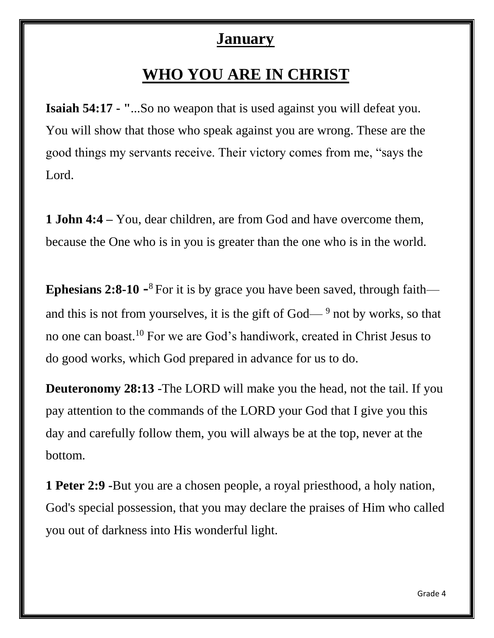#### **January**

### **WHO YOU ARE IN CHRIST**

**Isaiah 54:17 - "**...So no weapon that is used against you will defeat you. You will show that those who speak against you are wrong. These are the good things my servants receive. Their victory comes from me, "says the Lord.

**1 John 4:4 –** You, dear children, are from God and have overcome them, because the One who is in you is greater than the one who is in the world.

**Ephesians 2:8-10**  $\text{-}8$  For it is by grace you have been saved, through faith and this is not from yourselves, it is the gift of  $God<sup>9</sup>$  not by works, so that no one can boast.<sup>10</sup> For we are God's handiwork, created in Christ Jesus to do good works, which God prepared in advance for us to do.

**Deuteronomy 28:13** -The LORD will make you the head, not the tail. If you pay attention to the commands of the LORD your God that I give you this day and carefully follow them, you will always be at the top, never at the bottom.

**1 Peter 2:9 -**But you are a chosen people, a royal priesthood, a holy nation, God's special possession, that you may declare the praises of Him who called you out of darkness into His wonderful light.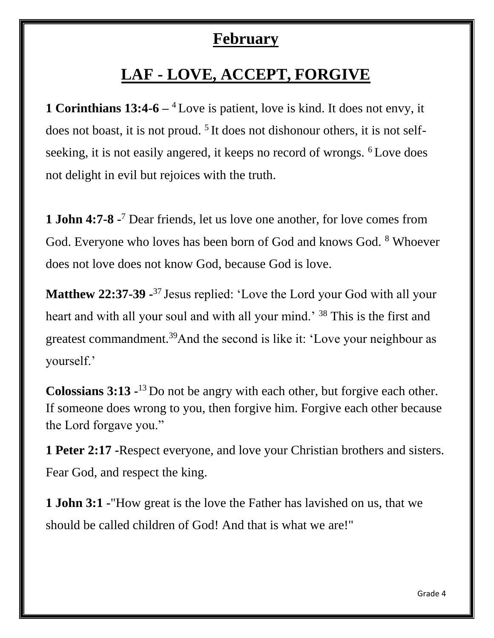#### **February**

# **LAF - LOVE, ACCEPT, FORGIVE**

**1 Corinthians 13:4-6** – <sup>4</sup>Love is patient, love is kind. It does not envy, it does not boast, it is not proud.  $5$  It does not dishonour others, it is not selfseeking, it is not easily angered, it keeps no record of wrongs. <sup>6</sup>Love does not delight in evil but rejoices with the truth.

**1 John 4:7-8 -** <sup>7</sup> Dear friends, let us love one another, for love comes from God. Everyone who loves has been born of God and knows God. <sup>8</sup> Whoever does not love does not know God, because God is love.

**Matthew 22:37-39** - <sup>37</sup> Jesus replied: 'Love the Lord your God with all your heart and with all your soul and with all your mind.' <sup>38</sup> This is the first and greatest commandment.<sup>39</sup>And the second is like it: 'Love your neighbour as yourself.'

**Colossians 3:13** -<sup>13</sup> Do not be angry with each other, but forgive each other. If someone does wrong to you, then forgive him. Forgive each other because the Lord forgave you."

**1 Peter 2:17 -**Respect everyone, and love your Christian brothers and sisters. Fear God, and respect the king.

**1 John 3:1 -**"How great is the love the Father has lavished on us, that we should be called children of God! And that is what we are!"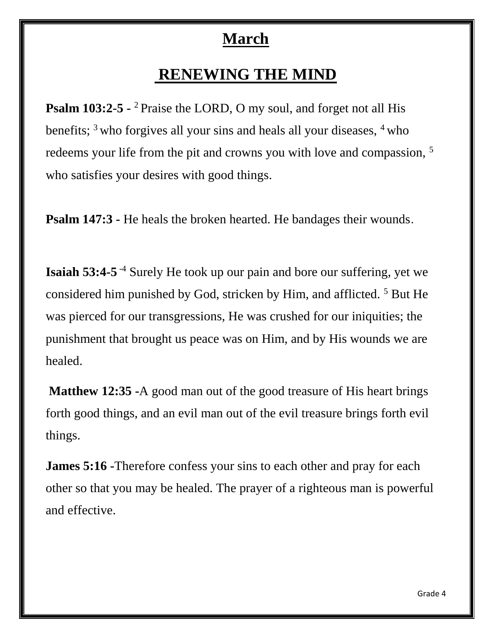#### **March**

#### **RENEWING THE MIND**

**Psalm 103:2-5 -** <sup>2</sup> Praise the LORD, O my soul, and forget not all His benefits;  $3$  who forgives all your sins and heals all your diseases,  $4$  who redeems your life from the pit and crowns you with love and compassion, <sup>5</sup> who satisfies your desires with good things.

**Psalm 147:3 -** He heals the broken hearted. He bandages their wounds.

**Isaiah 53:4-5**<sup>-4</sup> Surely He took up our pain and bore our suffering, yet we considered him punished by God, stricken by Him, and afflicted.<sup>5</sup> But He was pierced for our transgressions, He was crushed for our iniquities; the punishment that brought us peace was on Him, and by His wounds we are healed.

**Matthew 12:35 -**A good man out of the good treasure of His heart brings forth good things, and an evil man out of the evil treasure brings forth evil things.

**James 5:16 -**Therefore confess your sins to each other and pray for each other so that you may be healed. The prayer of a righteous man is powerful and effective.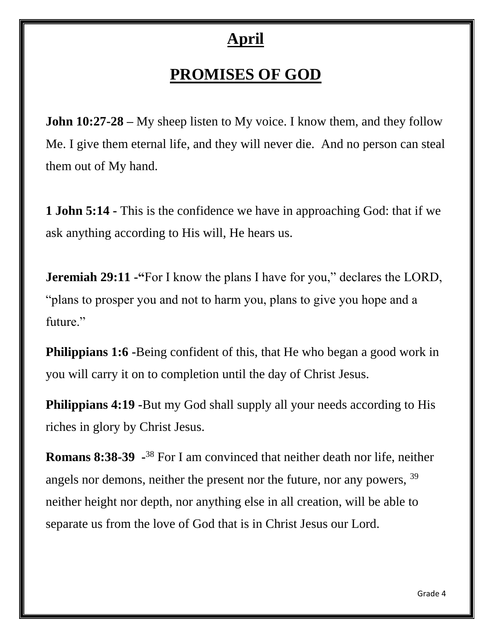#### **April**

# **PROMISES OF GOD**

**John 10:27-28** – My sheep listen to My voice. I know them, and they follow Me. I give them eternal life, and they will never die. And no person can steal them out of My hand.

**1 John 5:14 -** This is the confidence we have in approaching God: that if we ask anything according to His will, He hears us.

**Jeremiah 29:11 <b>-**"For I know the plans I have for you," declares the LORD, "plans to prosper you and not to harm you, plans to give you hope and a future."

**Philippians 1:6 <b>-**Being confident of this, that He who began a good work in you will carry it on to completion until the day of Christ Jesus.

**Philippians 4:19 <b>-**But my God shall supply all your needs according to His riches in glory by Christ Jesus.

**Romans 8:38-39** - <sup>38</sup> For I am convinced that neither death nor life, neither angels nor demons, neither the present nor the future, nor any powers, <sup>39</sup> neither height nor depth, nor anything else in all creation, will be able to separate us from the love of God that is in Christ Jesus our Lord.